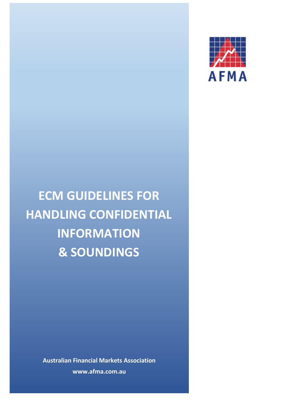

**ECM GUIDELINES FOR HANDLING CONFIDENTIAL INFORMATION & SOUNDINGS**

> **Australian Financial Markets Association www.afma.com.au**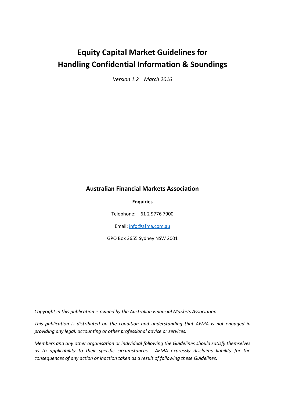# **Equity Capital Market Guidelines for Handling Confidential Information & Soundings**

*Version 1.2 March 2016*

## **Australian Financial Markets Association**

**Enquiries**

Telephone: + 61 2 9776 7900

Email[: info@afma.com.au](mailto:info@afma.com.au)

GPO Box 3655 Sydney NSW 2001

*Copyright in this publication is owned by the Australian Financial Markets Association.*

*This publication is distributed on the condition and understanding that AFMA is not engaged in providing any legal, accounting or other professional advice or services.*

*Members and any other organisation or individual following the Guidelines should satisfy themselves as to applicability to their specific circumstances. AFMA expressly disclaims liability for the consequences of any action or inaction taken as a result of following these Guidelines.*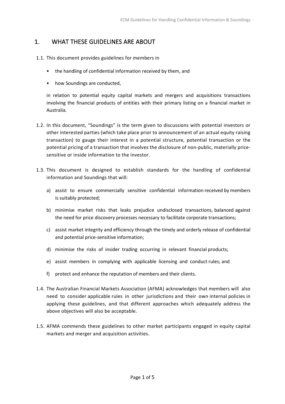## 1. WHAT THESE GUIDELINES ARE ABOUT

- 1.1. This document provides guidelines for members in
	- the handling of confidential information received by them, and
	- how Soundings are conducted,

in relation to potential equity capital markets and mergers and acquisitions transactions involving the financial products of entities with their primary listing on a financial market in Australia.

- 1.2. In this document, "Soundings" is the term given to discussions with potential investors or other interested parties (which take place prior to announcement of an actual equity raising transaction) to gauge their interest in a potential structure, potential transaction or the potential pricing of a transaction that involves the disclosure of non-public, materially pricesensitive or inside information to the investor.
- 1.3. This document is designed to establish standards for the handling of confidential information and Soundings that will:
	- a) assist to ensure commercially sensitive confidential information received by members is suitably protected;
	- b) minimise market risks that leaks prejudice undisclosed transactions, balanced against the need for price discovery processes necessary to facilitate corporate transactions;
	- c) assist market integrity and efficiency through the timely and orderly release of confidential and potential price‐sensitive information;
	- d) minimise the risks of insider trading occurring in relevant financial products;
	- e) assist members in complying with applicable licensing and conduct rules; and
	- f) protect and enhance the reputation of members and their clients.
- 1.4. The Australian Financial Markets Association (AFMA) acknowledges that members will also need to consider applicable rules in other jurisdictions and their own internal policies in applying these guidelines, and that different approaches which adequately address the above objectives will also be acceptable.
- 1.5. AFMA commends these guidelines to other market participants engaged in equity capital markets and merger and acquisition activities.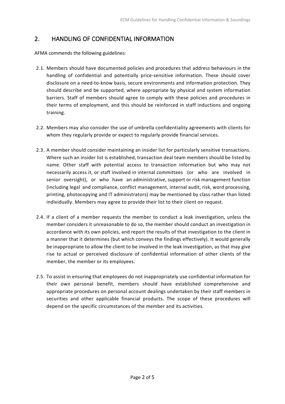## 2. HANDLING OF CONFIDENTIAL INFORMATION

AFMA commends the following guidelines:

- 2.1. Members should have documented policies and procedures that address behaviours in the handling of confidential and potentially price-sensitive information. These should cover disclosure on a need-to-know basis, secure environments and information protection. They should describe and be supported, where appropriate by physical and system information barriers. Staff of members should agree to comply with these policies and procedures in their terms of employment, and this should be reinforced in staff inductions and ongoing training.
- 2.2. Members may also consider the use of umbrella confidentiality agreements with clients for whom they regularly provide or expect to regularly provide financial services.
- 2.3. A member should consider maintaining an insider list for particularly sensitive transactions. Where such an insider list is established, transaction deal team members should be listed by name. Other staff with potential access to transaction information but who may not necessarily access it, or staff involved in internal committees (or who are involved in senior oversight), or who have an administrative, support or risk management function (including legal and compliance, conflict management, internal audit, risk, word processing, printing, photocopying and IT administrators) may be mentioned by class rather than listed individually. Members may agree to provide their list to their client on request.
- 2.4. If a client of a member requests the member to conduct a leak investigation, unless the member considers it unreasonable to do so, the member should conduct an investigation in accordance with its own policies, and report the results of that investigation to the client in a manner that it determines (but which conveys the findings effectively). It would generally be inappropriate to allow the client to be involved in the leak investigation, as that may give rise to actual or perceived disclosure of confidential information of other clients of the member, the member or its employees.
- 2.5. To assist in ensuring that employees do not inappropriately use confidential information for their own personal benefit, members should have established comprehensive and appropriate procedures on personal account dealings undertaken by their staff members in securities and other applicable financial products. The scope of these procedures will depend on the specific circumstances of the member and its activities.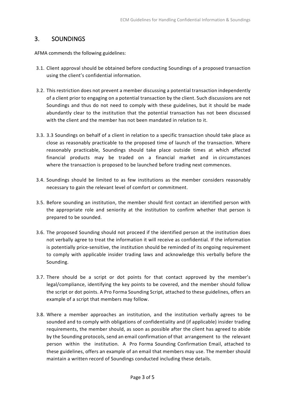#### 3. SOUNDINGS

AFMA commends the following guidelines:

- 3.1. Client approval should be obtained before conducting Soundings of a proposed transaction using the client's confidential information.
- 3.2. This restriction does not prevent a member discussing a potential transaction independently of a client prior to engaging on a potential transaction by the client. Such discussions are not Soundings and thus do not need to comply with these guidelines, but it should be made abundantly clear to the institution that the potential transaction has not been discussed with the client and the member has not been mandated in relation to it.
- 3.3. 3.3 Soundings on behalf of a client in relation to a specific transaction should take place as close as reasonably practicable to the proposed time of launch of the transaction. Where reasonably practicable, Soundings should take place outside times at which affected financial products may be traded on a financial market and in circumstances where the transaction is proposed to be launched before trading next commences.
- 3.4. Soundings should be limited to as few institutions as the member considers reasonably necessary to gain the relevant level of comfort or commitment.
- 3.5. Before sounding an institution, the member should first contact an identified person with the appropriate role and seniority at the institution to confirm whether that person is prepared to be sounded.
- 3.6. The proposed Sounding should not proceed if the identified person at the institution does not verbally agree to treat the information it will receive as confidential. If the information is potentially price-sensitive, the institution should be reminded of its ongoing requirement to comply with applicable insider trading laws and acknowledge this verbally before the Sounding.
- 3.7. There should be a script or dot points for that contact approved by the member's legal/compliance, identifying the key points to be covered, and the member should follow the script or dot points. A Pro Forma Sounding Script, attached to these guidelines, offers an example of a script that members may follow.
- 3.8. Where a member approaches an institution, and the institution verbally agrees to be sounded and to comply with obligations of confidentiality and (if applicable) insider trading requirements, the member should, as soon as possible after the client has agreed to abide by the Sounding protocols, send an email confirmation of that arrangement to the relevant person within the institution. A Pro Forma Sounding Confirmation Email, attached to these guidelines, offers an example of an email that members may use. The member should maintain a written record of Soundings conducted including these details.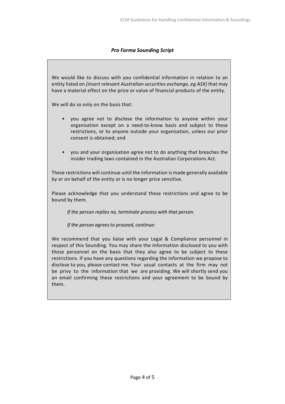#### *Pro Forma Sounding Script*

We would like to discuss with you confidential information in relation to an entity listed on *[insert relevant Australian securities exchange, eg ASX]* that may have a material effect on the price or value of financial products of the entity.

We will do so only on the basis that:

- you agree not to disclose the information to anyone within your organisation except on a need‐to‐know basis and subject to these restrictions, or to anyone outside your organisation, unless our prior consent is obtained; and
- you and your organisation agree not to do anything that breaches the insider trading laws contained in the Australian Corporations Act.

These restrictions will continue until the information is made generally available by or on behalf of the entity or is no longer price sensitive.

Please acknowledge that you understand these restrictions and agree to be bound by them.

*If the person replies no, terminate process with that person.*

*If the person agrees to proceed, continue:*

We recommend that you liaise with your Legal & Compliance personnel in respect of this Sounding. You may share the information disclosed to you with those personnel on the basis that they also agree to be subject to these restrictions. If you have any questions regarding the information we propose to disclose to you, please contact me. Your usual contacts at the firm may not be privy to the information that we are providing. We will shortly send you an email confirming these restrictions and your agreement to be bound by them.